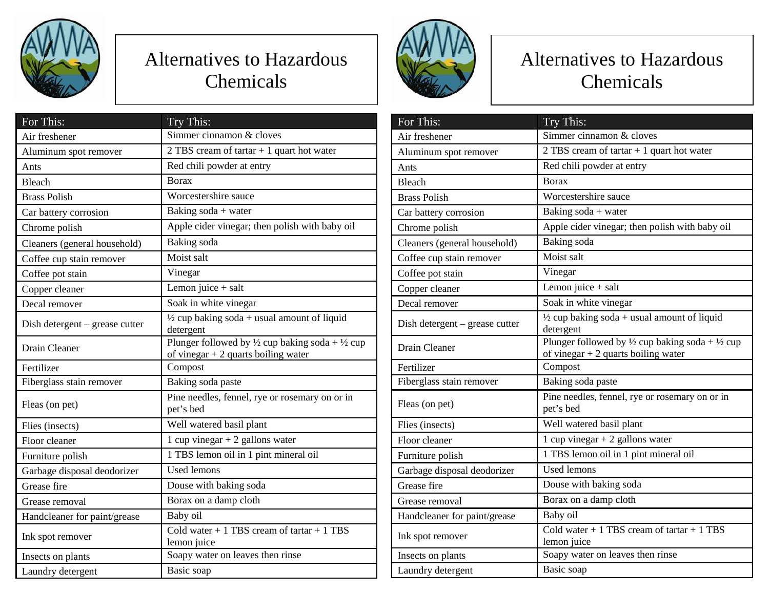

## Alternatives to Hazardous Chemicals

| For This:                      | Try This:                                                                                                     |
|--------------------------------|---------------------------------------------------------------------------------------------------------------|
| Air freshener                  | Simmer cinnamon & cloves                                                                                      |
| Aluminum spot remover          | 2 TBS cream of $\text{tartar} + 1$ quart hot water                                                            |
| Ants                           | Red chili powder at entry                                                                                     |
| Bleach                         | <b>Borax</b>                                                                                                  |
| <b>Brass Polish</b>            | Worcestershire sauce                                                                                          |
| Car battery corrosion          | Baking soda + water                                                                                           |
| Chrome polish                  | Apple cider vinegar; then polish with baby oil                                                                |
| Cleaners (general household)   | Baking soda                                                                                                   |
| Coffee cup stain remover       | Moist salt                                                                                                    |
| Coffee pot stain               | Vinegar                                                                                                       |
| Copper cleaner                 | Lemon juice $+$ salt                                                                                          |
| Decal remover                  | Soak in white vinegar                                                                                         |
| Dish detergent – grease cutter | $\frac{1}{2}$ cup baking soda + usual amount of liquid<br>detergent                                           |
| Drain Cleaner                  | Plunger followed by $\frac{1}{2}$ cup baking soda + $\frac{1}{2}$ cup<br>of vinegar $+2$ quarts boiling water |
| Fertilizer                     | Compost                                                                                                       |
| Fiberglass stain remover       | Baking soda paste                                                                                             |
| Fleas (on pet)                 | Pine needles, fennel, rye or rosemary on or in<br>pet's bed                                                   |
| Flies (insects)                | Well watered basil plant                                                                                      |
| Floor cleaner                  | 1 cup vinegar $+ 2$ gallons water                                                                             |
| Furniture polish               | 1 TBS lemon oil in 1 pint mineral oil                                                                         |
| Garbage disposal deodorizer    | <b>Used lemons</b>                                                                                            |
| Grease fire                    | Douse with baking soda                                                                                        |
| Grease removal                 | Borax on a damp cloth                                                                                         |
| Handcleaner for paint/grease   | Baby oil                                                                                                      |
| Ink spot remover               | Cold water $+1$ TBS cream of tartar $+1$ TBS<br>lemon juice                                                   |
| Insects on plants              | Soapy water on leaves then rinse                                                                              |
| Laundry detergent              | Basic soap                                                                                                    |



## Alternatives to Hazardous Chemicals

| For This:                      | Try This:                                                                                                     |
|--------------------------------|---------------------------------------------------------------------------------------------------------------|
| Air freshener                  | Simmer cinnamon & cloves                                                                                      |
| Aluminum spot remover          | 2 TBS cream of tartar + 1 quart hot water                                                                     |
| Ants                           | Red chili powder at entry                                                                                     |
| Bleach                         | <b>Borax</b>                                                                                                  |
| <b>Brass Polish</b>            | Worcestershire sauce                                                                                          |
| Car battery corrosion          | Baking soda + water                                                                                           |
| Chrome polish                  | Apple cider vinegar; then polish with baby oil                                                                |
| Cleaners (general household)   | Baking soda                                                                                                   |
| Coffee cup stain remover       | Moist salt                                                                                                    |
| Coffee pot stain               | Vinegar                                                                                                       |
| Copper cleaner                 | Lemon juice $+$ salt                                                                                          |
| Decal remover                  | Soak in white vinegar                                                                                         |
| Dish detergent – grease cutter | $\frac{1}{2}$ cup baking soda + usual amount of liquid<br>detergent                                           |
| Drain Cleaner                  | Plunger followed by $\frac{1}{2}$ cup baking soda + $\frac{1}{2}$ cup<br>of vinegar $+2$ quarts boiling water |
| Fertilizer                     | Compost                                                                                                       |
| Fiberglass stain remover       | Baking soda paste                                                                                             |
| Fleas (on pet)                 | Pine needles, fennel, rye or rosemary on or in<br>pet's bed                                                   |
| Flies (insects)                | Well watered basil plant                                                                                      |
| Floor cleaner                  | 1 cup vinegar $+ 2$ gallons water                                                                             |
| Furniture polish               | 1 TBS lemon oil in 1 pint mineral oil                                                                         |
| Garbage disposal deodorizer    | <b>Used lemons</b>                                                                                            |
| Grease fire                    | Douse with baking soda                                                                                        |
| Grease removal                 | Borax on a damp cloth                                                                                         |
| Handcleaner for paint/grease   | Baby oil                                                                                                      |
| Ink spot remover               | Cold water $+1$ TBS cream of tartar $+1$ TBS<br>lemon juice                                                   |
| Insects on plants              | Soapy water on leaves then rinse                                                                              |
| Laundry detergent              | Basic soap                                                                                                    |